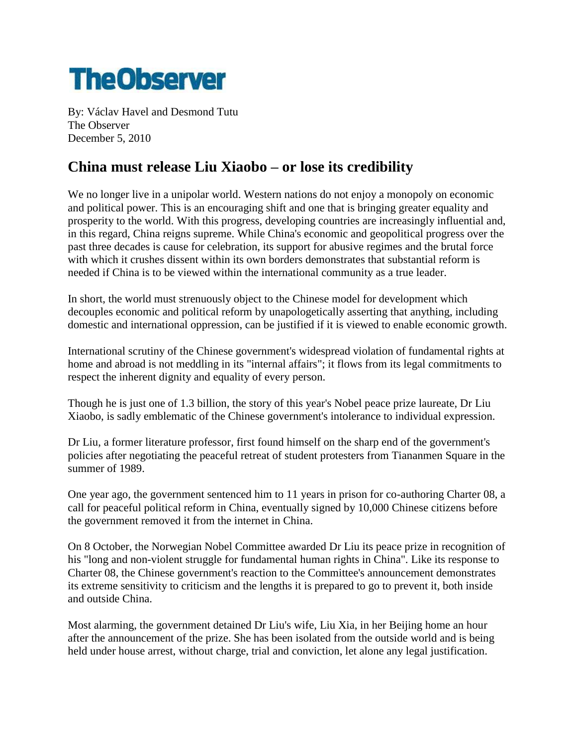

By: Václav Havel and Desmond Tutu The Observer December 5, 2010

## **China must release Liu Xiaobo – or lose its credibility**

We no longer live in a unipolar world. Western nations do not enjoy a monopoly on economic and political power. This is an encouraging shift and one that is bringing greater equality and prosperity to the world. With this progress, developing countries are increasingly influential and, in this regard, China reigns supreme. While China's economic and geopolitical progress over the past three decades is cause for celebration, its support for abusive regimes and the brutal force with which it crushes dissent within its own borders demonstrates that substantial reform is needed if China is to be viewed within the international community as a true leader.

In short, the world must strenuously object to the Chinese model for development which decouples economic and political reform by unapologetically asserting that anything, including domestic and international oppression, can be justified if it is viewed to enable economic growth.

International scrutiny of the Chinese government's widespread violation of fundamental rights at home and abroad is not meddling in its "internal affairs"; it flows from its legal commitments to respect the inherent dignity and equality of every person.

Though he is just one of 1.3 billion, the story of this year's Nobel peace prize laureate, Dr Liu Xiaobo, is sadly emblematic of the Chinese government's intolerance to individual expression.

Dr Liu, a former literature professor, first found himself on the sharp end of the government's policies after negotiating the peaceful retreat of student protesters from Tiananmen Square in the summer of 1989.

One year ago, the government sentenced him to 11 years in prison for co-authoring Charter 08, a call for peaceful political reform in China, eventually signed by 10,000 Chinese citizens before the government removed it from the internet in China.

On 8 October, the Norwegian Nobel Committee awarded Dr Liu its peace prize in recognition of his "long and non-violent struggle for fundamental human rights in China". Like its response to Charter 08, the Chinese government's reaction to the Committee's announcement demonstrates its extreme sensitivity to criticism and the lengths it is prepared to go to prevent it, both inside and outside China.

Most alarming, the government detained Dr Liu's wife, Liu Xia, in her Beijing home an hour after the announcement of the prize. She has been isolated from the outside world and is being held under house arrest, without charge, trial and conviction, let alone any legal justification.